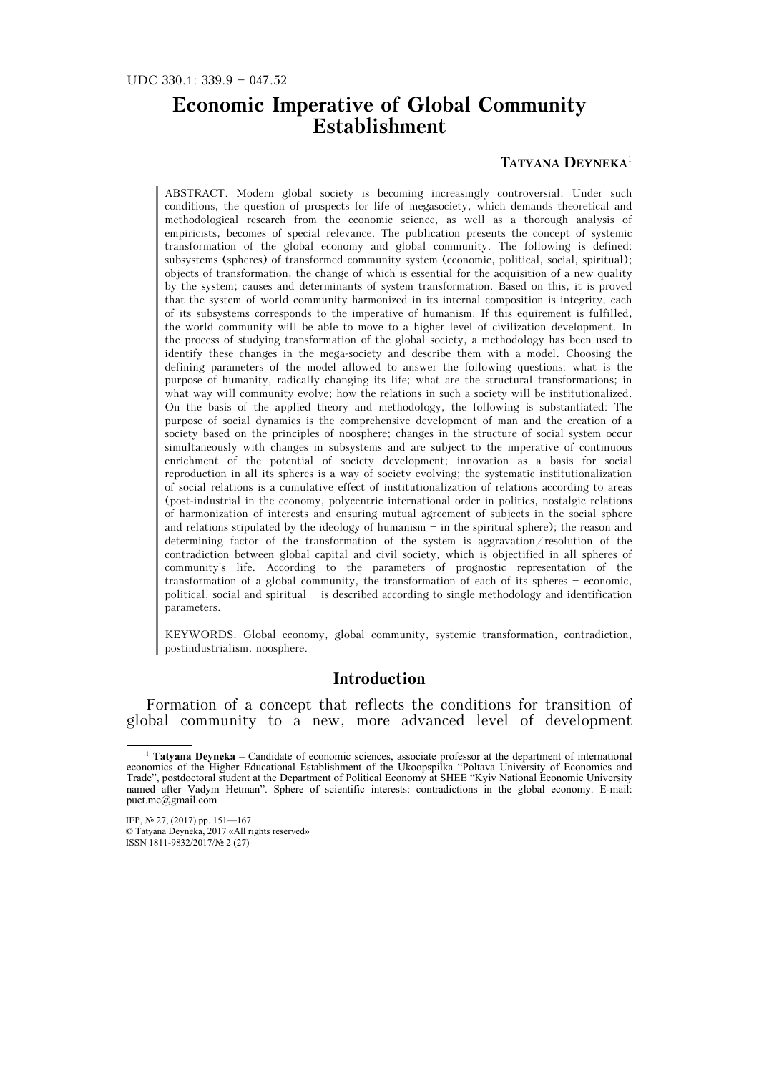#### UDC 330.1: 339.9 — 047.52

### **Economic Imperative of Global Community Establishment**

#### **TATYANA DEYNEKA**<sup>1</sup>

ABSTRACT. Modern global society is becoming increasingly controversial. Under such conditions, the question of prospects for life of megasociety, which demands theoretical and methodological research from the economic science, as well as a thorough analysis of empiricists, becomes of special relevance. The publication presents the concept of systemic transformation of the global economy and global community. The following is defined: subsystems (spheres) of transformed community system (economic, political, social, spiritual); objects of transformation, the change of which is essential for the acquisition of a new quality by the system; causes and determinants of system transformation. Based on this, it is proved that the system of world community harmonized in its internal composition is integrity, each of its subsystems corresponds to the imperative of humanism. If this equirement is fulfilled, the world community will be able to move to a higher level of civilization development. In the process of studying transformation of the global society, a methodology has been used to identify these changes in the mega-society and describe them with a model. Choosing the defining parameters of the model allowed to answer the following questions: what is the purpose of humanity, radically changing its life; what are the structural transformations; in what way will community evolve; how the relations in such a society will be institutionalized. On the basis of the applied theory and methodology, the following is substantiated: The purpose of social dynamics is the comprehensive development of man and the creation of a society based on the principles of noosphere; changes in the structure of social system occur simultaneously with changes in subsystems and are subject to the imperative of continuous enrichment of the potential of society development; innovation as a basis for social reproduction in all its spheres is a way of society evolving; the systematic institutionalization of social relations is a cumulative effect of institutionalization of relations according to areas (post-industrial in the economy, polycentric international order in politics, nostalgic relations of harmonization of interests and ensuring mutual agreement of subjects in the social sphere and relations stipulated by the ideology of humanism  $-$  in the spiritual sphere); the reason and determining factor of the transformation of the system is aggravation/resolution of the contradiction between global capital and civil society, which is objectified in all spheres of community's life. According to the parameters of prognostic representation of the transformation of a global community, the transformation of each of its spheres — economic, political, social and spiritual  $-$  is described according to single methodology and identification parameters.

KEYWORDS. Global economy, global community, systemic transformation, contradiction, postindustrialism, noosphere.

### **Introduction**

Formation of a concept that reflects the conditions for transition of global community to a new, more advanced level of development

 <sup>1</sup>  **Tatyana Deyneka** – Candidate of economic sciences, associate professor at the department of international economics of the Higher Educational Establishment of the Ukoopspilka "Poltava University of Economics and Trade", postdoctoral student at the Department of Political Economy at SHEE "Kyiv National Economic University named after Vadym Hetman". Sphere of scientific interests: contradictions in the global economy. E-mail: puet.me@gmail.com

IEP, № 27, (2017) pp. 151—167 © Tatyana Deyneka, 2017 «All rights reserved» ISSN 1811-9832/2017/№ 2 (27)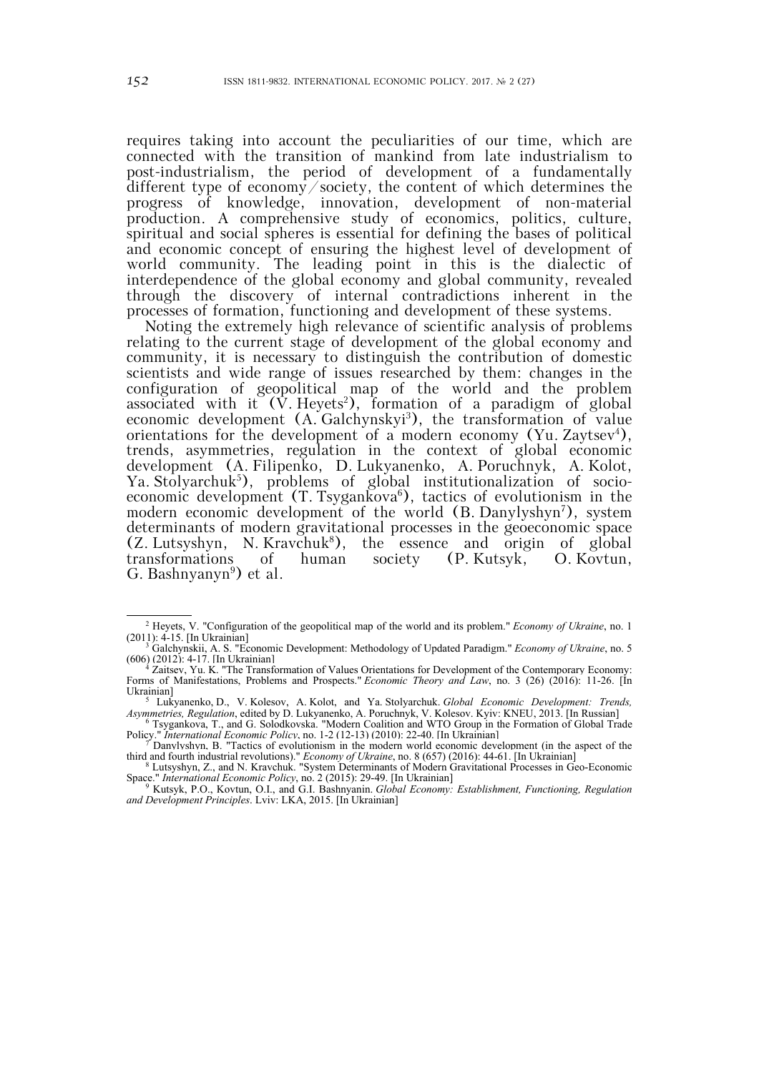requires taking into account the peculiarities of our time, which are connected with the transition of mankind from late industrialism to post-industrialism, the period of development of a fundamentally different type of economy/society, the content of which determines the progress of knowledge, innovation, development of non-material production. A comprehensive study of economics, politics, culture, spiritual and social spheres is essential for defining the bases of political and economic concept of ensuring the highest level of development of world community. The leading point in this is the dialectic of interdependence of the global economy and global community, revealed through the discovery of internal contradictions inherent in the processes of formation, functioning and development of these systems.

Noting the extremely high relevance of scientific analysis of problems relating to the current stage of development of the global economy and community, it is necessary to distinguish the contribution of domestic scientists and wide range of issues researched by them: changes in the configuration of geopolitical map of the world and the problem associated with it  $(\tilde{V}$ . Heyets<sup>2</sup>), formation of a paradigm of global economic development (A. Galchynskyi<sup>3</sup>), the transformation of value orientations for the development of a modern economy (Yu. Zaytsev<sup>4</sup>), trends, asymmetries, regulation in the context of global economic development (A. Filipenko, D. Lukyanenko, A. Poruchnyk, A. Kolot, Ya. Stolyarchuk<sup>5</sup>), problems of global institutionalization of socioeconomic development (T. Tsygankova<sup>6</sup>), tactics of evolutionism in the modern economic development of the world (B. Danylyshyn<sup>7</sup>), system determinants of modern gravitational processes in the geoeconomic space  $(Z. Lutsyshyn, N. Kravchuk<sup>8</sup>)$ , the essence and origin of global transformations of human society (P. Kutsyk, O. Kovtun, G. Bashnyanyn<sup>9</sup>) et al.

 <sup>2</sup> Heyets, V. "Configuration of the geopolitical map of the world and its problem." *Economy of Ukraine*, no. 1 (2011): 4-15. [In Ukrainian]<br><sup>3</sup> Galchynskii, A. S. "Economic Development: Methodology of Updated Paradigm." *Economy of Ukraine*, no. 5

 $(606)$  (2012): 4-17. [In Ukrainian]

Zaitsev, Yu. K. "The Transformation of Values Orientations for Development of the Contemporary Economy: Forms of Manifestations, Problems and Prospects." *Economic Theory and Law*, no. 3 (26) (2016): 11-26. [In Ukrainian]

Lukyanenko, D., V. Kolesov, A. Kolot, and Ya. Stolyarchuk. *Global Economic Development: Trends, Asymmetries, Regulation*, edited by D. Lukyanenko, A. Poruchnyk, V. Kolesov. Kyiv: KNEU, 2013. [In Russian] 6 Tsygankova, T., and G. Solodkovska. "Modern Coalition and WTO Group in the Formation of Global Trade

Policy." *International Economic Policy*, no. 1-2 (12-13) (2010): 22-40. [In Ukrainian]<br><sup>7</sup> Danylyshyn, B. "Tactics of evolutionism in the modern world economic development (in the aspect of the

third and fourth industrial revolutions)." *Economy of Ukraine*, no. 8 (657) (2016): 44-61. [In Ukrainian] <sup>8</sup> Lutsyshyn, Z., and N. Kravchuk. "System Determinants of Modern Gravitational Processes in Geo-Economic

Space." *International Economic Policy*, no. 2 (2015): 29-49. [In Ukrainian] 9

<sup>&</sup>lt;sup>9</sup> Kutsyk, P.O., Kovtun, O.I., and G.I. Bashnyanin. *Global Economy: Establishment, Functioning, Regulation and Development Principles*. Lviv: LKA, 2015. [In Ukrainian]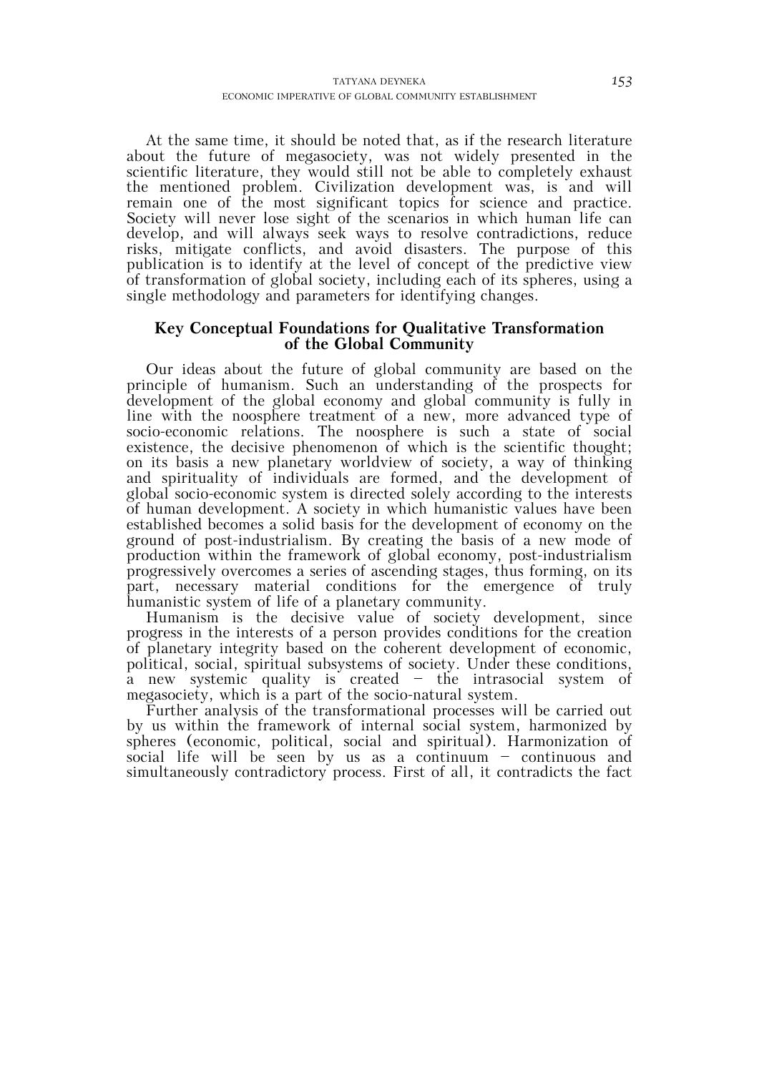At the same time, it should be noted that, as if the research literature about the future of megasociety, was not widely presented in the scientific literature, they would still not be able to completely exhaust the mentioned problem. Civilization development was, is and will remain one of the most significant topics for science and practice. Society will never lose sight of the scenarios in which human life can develop, and will always seek ways to resolve contradictions, reduce risks, mitigate conflicts, and avoid disasters. The purpose of this publication is to identify at the level of concept of the predictive view of transformation of global society, including each of its spheres, using a single methodology and parameters for identifying changes.

# **Key Conceptual Foundations for Qualitative Transformation of the Global Community**

Our ideas about the future of global community are based on the principle of humanism. Such an understanding of the prospects for development of the global economy and global community is fully in line with the noosphere treatment of a new, more advanced type of socio-economic relations. The noosphere is such a state of social existence, the decisive phenomenon of which is the scientific thought; on its basis a new planetary worldview of society, a way of thinking and spirituality of individuals are formed, and the development of global socio-economic system is directed solely according to the interests of human development. A society in which humanistic values have been established becomes a solid basis for the development of economy on the ground of post-industrialism. By creating the basis of a new mode of production within the framework of global economy, post-industrialism progressively overcomes a series of ascending stages, thus forming, on its part, necessary material conditions for the emergence of truly humanistic system of life of a planetary community.

Humanism is the decisive value of society development, since progress in the interests of a person provides conditions for the creation of planetary integrity based on the coherent development of economic, political, social, spiritual subsystems of society. Under these conditions, a new systemic quality is created — the intrasocial system of megasociety, which is a part of the socio-natural system.

Further analysis of the transformational processes will be carried out by us within the framework of internal social system, harmonized by spheres (economic, political, social and spiritual). Harmonization of social life will be seen by us as a continuum — continuous and simultaneously contradictory process. First of all, it contradicts the fact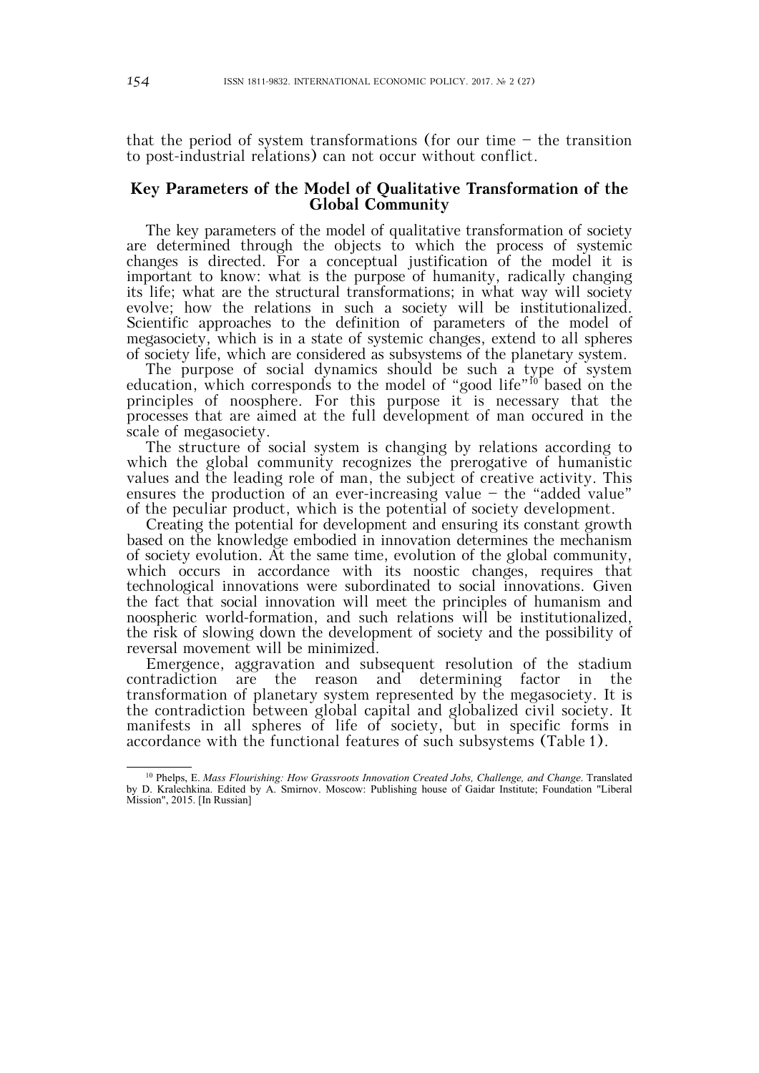that the period of system transformations (for our time  $-$  the transition to post-industrial relations) can not occur without conflict.

### **Key Parameters of the Model of Qualitative Transformation of the Global Community**

The key parameters of the model of qualitative transformation of society are determined through the objects to which the process of systemic changes is directed. For a conceptual justification of the model it is important to know: what is the purpose of humanity, radically changing its life; what are the structural transformations; in what way will society evolve; how the relations in such a society will be institutionalized. Scientific approaches to the definition of parameters of the model of megasociety, which is in a state of systemic changes, extend to all spheres of society life, which are considered as subsystems of the planetary system.

The purpose of social dynamics should be such a type of system education, which corresponds to the model of "good life"<sup>10</sup> based on the principles of noosphere. For this purpose it is necessary that the processes that are aimed at the full development of man occured in the scale of megasociety.

The structure of social system is changing by relations according to which the global community recognizes the prerogative of humanistic values and the leading role of man, the subject of creative activity. This ensures the production of an ever-increasing value  $-$  the "added value" of the peculiar product, which is the potential of society development.

Creating the potential for development and ensuring its constant growth based on the knowledge embodied in innovation determines the mechanism of society evolution. At the same time, evolution of the global community, which occurs in accordance with its noostic changes, requires that technological innovations were subordinated to social innovations. Given the fact that social innovation will meet the principles of humanism and noospheric world-formation, and such relations will be institutionalized, the risk of slowing down the development of society and the possibility of reversal movement will be minimized.

Emergence, aggravation and subsequent resolution of the stadium contradiction are the reason and determining factor in the transformation of planetary system represented by the megasociety. It is the contradiction between global capital and globalized civil society. It manifests in all spheres of life of society, but in specific forms in accordance with the functional features of such subsystems (Table 1).

<sup>&</sup>lt;sup>10</sup> Phelps, E. Mass Flourishing: How Grassroots Innovation Created Jobs, Challenge, and Change. Translated by D. Kralechkina. Edited by A. Smirnov. Moscow: Publishing house of Gaidar Institute; Foundation "Liberal Mission", 2015. [In Russian]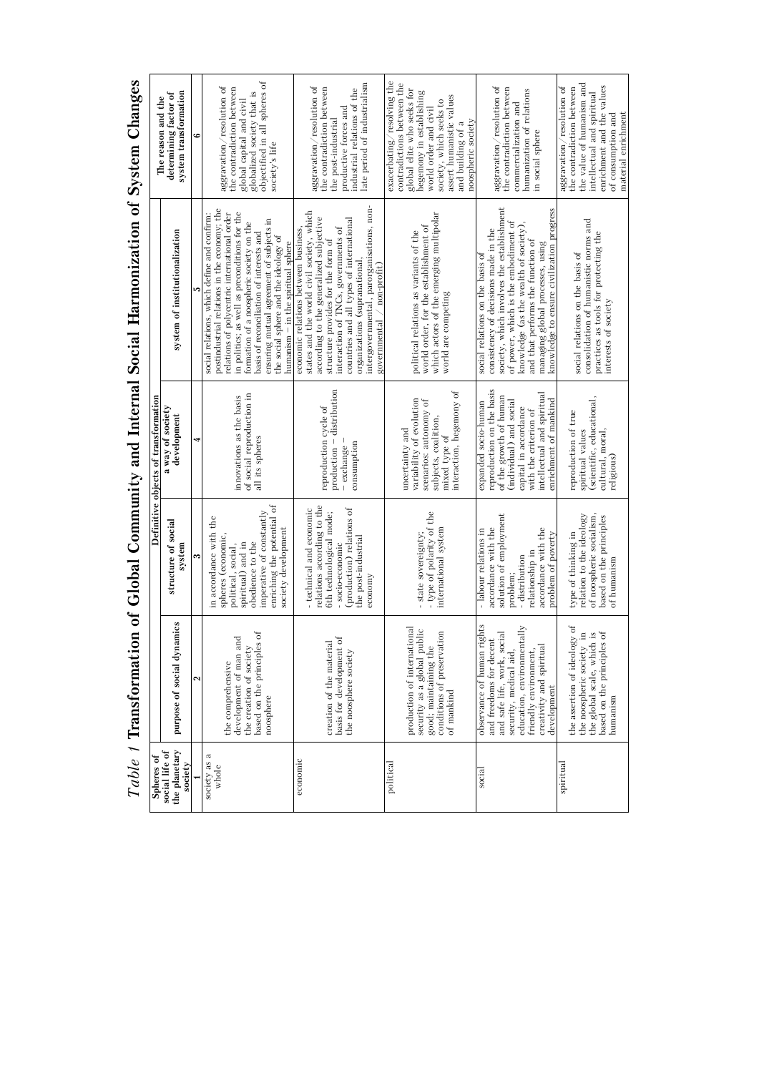|  | system transformation<br>determining factor of<br>The reason and the  | objectified in all spheres of<br>aggravation/resolution of<br>the contradiction between<br>globalized society that is<br>global capital and civil<br>society's life                                                                                                                                                                                                                                                | late period of industrialism<br>aggravation/resolution of<br>the contradiction between<br>industrial relations of the<br>productive forces and<br>the post-industrial                                                                                                                                                                                             | exacerbating/resolving the<br>contradictions between the<br>global elite who seeks for<br>hegemony in establishing<br>assert humanistic values<br>society, which seeks to<br>world order and civil<br>noospheric society<br>and building of a | aggravation/resolution of<br>the contradiction between<br>humanization of relations<br>commercialization and<br>in social sphere                                                                                                                                                                                             | the value of humanism and<br>enrichment and the values<br>aggravation/resolution of<br>the contradiction between<br>intellectual and spiritual<br>material enrichment<br>of consumption and |
|--|-----------------------------------------------------------------------|--------------------------------------------------------------------------------------------------------------------------------------------------------------------------------------------------------------------------------------------------------------------------------------------------------------------------------------------------------------------------------------------------------------------|-------------------------------------------------------------------------------------------------------------------------------------------------------------------------------------------------------------------------------------------------------------------------------------------------------------------------------------------------------------------|-----------------------------------------------------------------------------------------------------------------------------------------------------------------------------------------------------------------------------------------------|------------------------------------------------------------------------------------------------------------------------------------------------------------------------------------------------------------------------------------------------------------------------------------------------------------------------------|---------------------------------------------------------------------------------------------------------------------------------------------------------------------------------------------|
|  | system of institutionalization                                        | postindustrial relations in the economy; the<br>relations of polycentric international order<br>in politics; as well as preconditions for the<br>social relations, which define and confirm:<br>.드<br>formation of a noospheric society on the<br>ensuring mutual agreement of subjects<br>basis of reconciliation of interests and<br>the social sphere and the ideology of<br>humanism - in the spiritual sphere | intergovernmental, parorganisations, non-<br>states and the world civil society, which<br>according to the generalized subjective<br>countries and all types of international<br>interaction of TNCs, governments of<br>economic relations between business<br>structure provides for the form of<br>organizations (supranational<br>(non-profit)<br>governmental | which actors of the emerging multipolar<br>world order, for the establishment of<br>political relations as variants of the<br>world are competing                                                                                             | society, which involves the establishment<br>knowledge to ensure civilization progress<br>of power, which is the embodiment of<br>knowledge (as the wealth of society),<br>consistency of decisions made in the<br>and that performs the function of<br>managing global processes, using<br>social relations on the basis of | consolidation of humanistic norms and<br>practices as tools for protecting the<br>social relations on the basis of<br>interests of society                                                  |
|  | Definitive objects of transformation<br>way of society<br>development | of social reproduction in<br>innovations as the basis<br>all its spheres                                                                                                                                                                                                                                                                                                                                           | production - distribution<br>reproduction cycle of<br>consumption<br>- exchange                                                                                                                                                                                                                                                                                   | interaction, hegemony of<br>variability of evolution<br>ð<br>scenarios: autonomy<br>subjects, coalition,<br>uncertainty and<br>mixed type of                                                                                                  | reproduction on the basis<br>intellectual and spiritual<br>of the growth of human<br>(individual) and social<br>enrichment of mankind<br>expanded socio-human<br>capital in accordance<br>with the criterion of                                                                                                              | (scientific, educational,<br>reproduction of true<br>spiritual values<br>cultural, moral<br>religious)                                                                                      |
|  | structure of social<br>system                                         | enriching the potential of<br>imperative of constantly<br>in accordance with the<br>society development<br>spheres (economic,<br>obedience to the<br>spiritual) and in<br>political, social,                                                                                                                                                                                                                       | relations according to the<br>- technical and economic<br>(production) relations of<br>6th technological mode;<br>the post-industria<br>- socio-economic<br>economy                                                                                                                                                                                               | - type of polarity of the<br>international system<br>state sovereignty;                                                                                                                                                                       | solution of employment<br>accordance with the<br>accordance with the<br>- labour relations in<br>problem of poverty<br>relationship in<br>- distribution<br>problem.                                                                                                                                                         | relation to the ideology<br>of noospheric socialism,<br>based on the principles<br>type of thinking in<br>of humanism                                                                       |
|  | purpose of social dynamics                                            | based on the principles of<br>development of man and<br>the creation of society<br>the comprehensive<br>noosphere                                                                                                                                                                                                                                                                                                  | basis for development of<br>creation of the material<br>the noosphere society                                                                                                                                                                                                                                                                                     | production of international<br>security as a global public<br>conditions of preservation<br>good; maintaining the<br>of mankind                                                                                                               | rights<br>education, environmentally<br>and safe life, work, social<br>and freedoms for decent<br>creativity and spiritual<br>security, medical aid,<br>friendly environment,<br>observance of human<br>development                                                                                                          | the assertion of ideology of<br>$\Xi$<br>based on the principles of<br>the global scale, which is<br>the noospheric society<br>humanism                                                     |
|  | the planetary<br>social life of<br>Spheres of<br>society              | society as a<br>whole                                                                                                                                                                                                                                                                                                                                                                                              | economic                                                                                                                                                                                                                                                                                                                                                          | political                                                                                                                                                                                                                                     | social                                                                                                                                                                                                                                                                                                                       | spiritual                                                                                                                                                                                   |

*Table 1* **Transformation of Global Community and Internal Social Harmonization of System Changes**  Table 1 Transformation of Global Community and Internal Social Harmonization of System Changes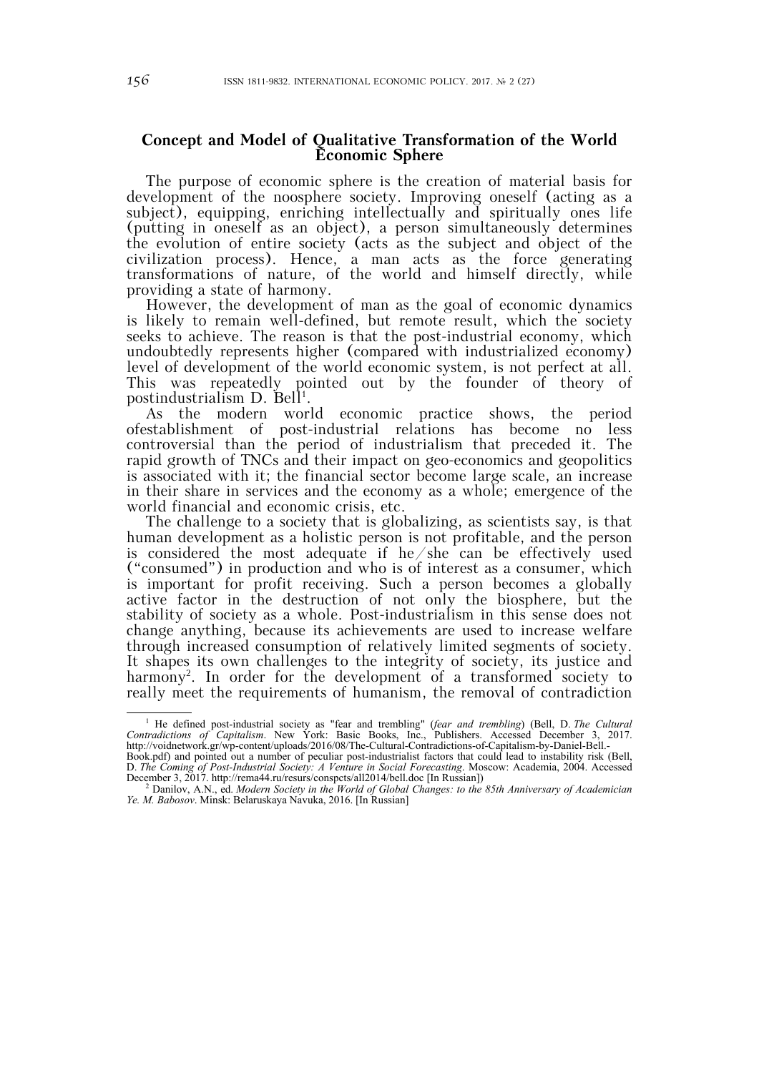#### **Concept and Model of Qualitative Transformation of the World Economic Sphere**

The purpose of economic sphere is the creation of material basis for development of the noosphere society. Improving oneself (acting as a subject), equipping, enriching intellectually and spiritually ones life (putting in oneself as an object), a person simultaneously determines the evolution of entire society (acts as the subject and object of the civilization process). Hence, a man acts as the force generating transformations of nature, of the world and himself directly, while providing a state of harmony.

However, the development of man as the goal of economic dynamics is likely to remain well-defined, but remote result, which the society seeks to achieve. The reason is that the post-industrial economy, which undoubtedly represents higher (compared with industrialized economy) level of development of the world economic system, is not perfect at all. This was repeatedly pointed out by the founder of theory of postindustrialism D. Bell<sup>1</sup>.

As the modern world economic practice shows, the period ofestablishment of post-industrial relations has become no less controversial than the period of industrialism that preceded it. The rapid growth of TNCs and their impact on geo-economics and geopolitics is associated with it; the financial sector become large scale, an increase in their share in services and the economy as a whole; emergence of the world financial and economic crisis, etc.

The challenge to a society that is globalizing, as scientists say, is that human development as a holistic person is not profitable, and the person is considered the most adequate if he/she can be effectively used ("consumed") in production and who is of interest as a consumer, which is important for profit receiving. Such a person becomes a globally active factor in the destruction of not only the biosphere, but the stability of society as a whole. Post-industrialism in this sense does not change anything, because its achievements are used to increase welfare through increased consumption of relatively limited segments of society. It shapes its own challenges to the integrity of society, its justice and harmony<sup>2</sup>. In order for the development of a transformed society to really meet the requirements of humanism, the removal of contradiction

<sup>&</sup>lt;sup>1</sup> He defined post-industrial society as "fear and trembling" (*fear and trembling*) (Bell, D. *The Cultural Contradictions of Capitalism*. New York: Basic Books, Inc., Publishers. Accessed December 3, 2017. http://voidnetwork.gr/wp-content/uploads/2016/08/The-Cultural-Contradictions-of-Capitalism-by-Daniel-Bell.-

Book.pdf) and pointed out a number of peculiar post-industrialist factors that could lead to instability risk (Bell, D. *The Coming of Post-Industrial Society: A Venture in Social Forecasting*. Moscow: Academia, 2004. Accessed December 3, 2017. http://rema44.ru/resurs/conspcts/all2014/bell.doc [In Russian])  $\frac{2}{3}$  Danilov, A N, ad *Modern Society in the World of Global Changes; to the* 

<sup>&</sup>lt;sup>2</sup> Danilov, A.N., ed. *Modern Society in the World of Global Changes: to the 85th Anniversary of Academician Ye. M. Babosov*. Minsk: Belaruskaya Navuka, 2016. [In Russian]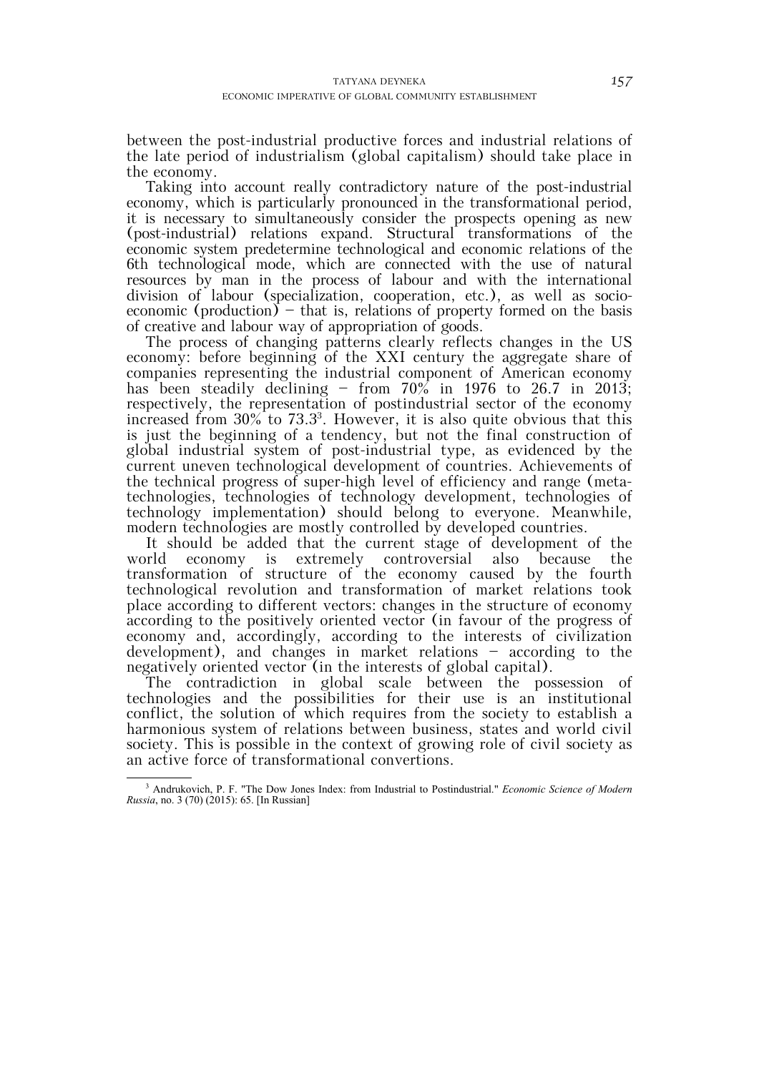between the post-industrial productive forces and industrial relations of the late period of industrialism (global capitalism) should take place in the economy.

Taking into account really contradictory nature of the post-industrial economy, which is particularly pronounced in the transformational period, it is necessary to simultaneously consider the prospects opening as new (post-industrial) relations expand. Structural transformations of the economic system predetermine technological and economic relations of the 6th technological mode, which are connected with the use of natural resources by man in the process of labour and with the international division of labour (specialization, cooperation, etc.), as well as socioeconomic (production) – that is, relations of property formed on the basis of creative and labour way of appropriation of goods.

The process of changing patterns clearly reflects changes in the US economy: before beginning of the XXI century the aggregate share of companies representing the industrial component of American economy has been steadily declining – from  $70\%$  in 1976 to 26.7 in 2013; respectively, the representation of postindustrial sector of the economy increased from 30% to 73.33 . However, it is also quite obvious that this is just the beginning of a tendency, but not the final construction of global industrial system of post-industrial type, as evidenced by the current uneven technological development of countries. Achievements of the technical progress of super-high level of efficiency and range (metatechnologies, technologies of technology development, technologies of technology implementation) should belong to everyone. Meanwhile, modern technologies are mostly controlled by developed countries.

It should be added that the current stage of development of the world economy is extremely controversial also because the transformation of structure of the economy caused by the fourth technological revolution and transformation of market relations took place according to different vectors: changes in the structure of economy according to the positively oriented vector (in favour of the progress of economy and, accordingly, according to the interests of civilization development), and changes in market relations — according to the negatively oriented vector (in the interests of global capital).

The contradiction in global scale between the possession of technologies and the possibilities for their use is an institutional conflict, the solution of which requires from the society to establish a harmonious system of relations between business, states and world civil society. This is possible in the context of growing role of civil society as an active force of transformational convertions.

 <sup>3</sup> Andrukovich, P. F. "The Dow Jones Index: from Industrial to Postindustrial." *Economic Science of Modern Russia*, no. 3 (70) (2015): 65. [In Russian]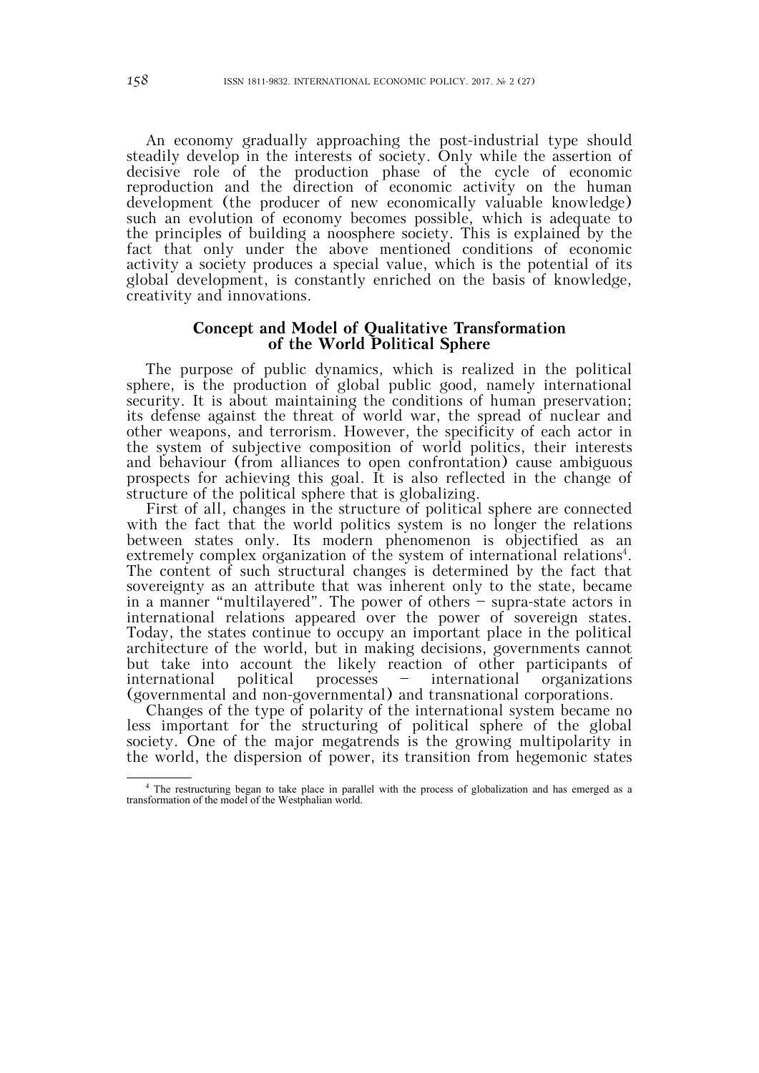An economy gradually approaching the post-industrial type should steadily develop in the interests of society. Only while the assertion of decisive role of the production phase of the cycle of economic reproduction and the direction of economic activity on the human development (the producer of new economically valuable knowledge) such an evolution of economy becomes possible, which is adequate to the principles of building a noosphere society. This is explained by the fact that only under the above mentioned conditions of economic activity a society produces a special value, which is the potential of its global development, is constantly enriched on the basis of knowledge, creativity and innovations.

### **Concept and Model of Qualitative Transformation of the World Political Sphere**

The purpose of public dynamics, which is realized in the political sphere, is the production of global public good, namely international security. It is about maintaining the conditions of human preservation; its defense against the threat of world war, the spread of nuclear and other weapons, and terrorism. However, the specificity of each actor in the system of subjective composition of world politics, their interests and behaviour (from alliances to open confrontation) cause ambiguous prospects for achieving this goal. It is also reflected in the change of structure of the political sphere that is globalizing.

First of all, changes in the structure of political sphere are connected with the fact that the world politics system is no longer the relations between states only. Its modern phenomenon is objectified as an extremely complex organization of the system of international relations<sup>4</sup>. The content of such structural changes is determined by the fact that sovereignty as an attribute that was inherent only to the state, became in a manner "multilayered". The power of others — supra-state actors in international relations appeared over the power of sovereign states. Today, the states continue to occupy an important place in the political architecture of the world, but in making decisions, governments cannot but take into account the likely reaction of other participants of international political processes — international organizations (governmental and non-governmental) and transnational corporations.

Changes of the type of polarity of the international system became no less important for the structuring of political sphere of the global society. One of the major megatrends is the growing multipolarity in the world, the dispersion of power, its transition from hegemonic states

<sup>&</sup>lt;sup>4</sup> The restructuring began to take place in parallel with the process of globalization and has emerged as a transformation of the model of the Westphalian world.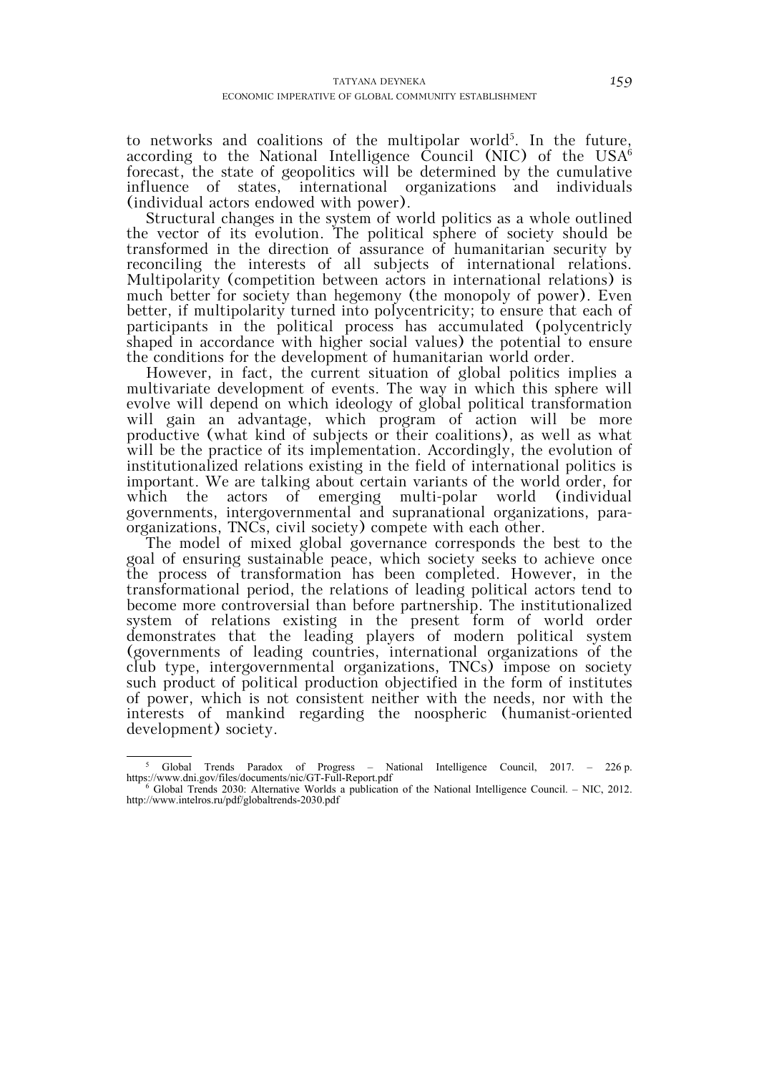to networks and coalitions of the multipolar world<sup>5</sup>. In the future, according to the National Intelligence Council (NIC) of the  $USA^6$ forecast, the state of geopolitics will be determined by the cumulative influence of states, international organizations and individuals (individual actors endowed with power).

Structural changes in the system of world politics as a whole outlined the vector of its evolution. The political sphere of society should be transformed in the direction of assurance of humanitarian security by reconciling the interests of all subjects of international relations. Multipolarity (competition between actors in international relations) is much better for society than hegemony (the monopoly of power). Even better, if multipolarity turned into polycentricity; to ensure that each of participants in the political process has accumulated (polycentricly shaped in accordance with higher social values) the potential to ensure the conditions for the development of humanitarian world order.

However, in fact, the current situation of global politics implies a multivariate development of events. The way in which this sphere will evolve will depend on which ideology of global political transformation will gain an advantage, which program of action will be more productive (what kind of subjects or their coalitions), as well as what will be the practice of its implementation. Accordingly, the evolution of institutionalized relations existing in the field of international politics is important. We are talking about certain variants of the world order, for which the actors of emerging multi-polar world (individual governments, intergovernmental and supranational organizations, paraorganizations, TNCs, civil society) compete with each other.

The model of mixed global governance corresponds the best to the goal of ensuring sustainable peace, which society seeks to achieve once the process of transformation has been completed. However, in the transformational period, the relations of leading political actors tend to become more controversial than before partnership. The institutionalized system of relations existing in the present form of world order demonstrates that the leading players of modern political system (governments of leading countries, international organizations of the club type, intergovernmental organizations, TNCs) impose on society such product of political production objectified in the form of institutes of power, which is not consistent neither with the needs, nor with the interests of mankind regarding the noospheric (humanist-oriented development) society.

<sup>&</sup>lt;sup>5</sup> Global Trends Paradox of Progress – National Intelligence Council, 2017. – 226 p. https://www.dni.gov/files/documents/nic/GT-Full-Report.pdf<br>6 Global Trends 2030: Alternative Worlds a publication

Global Trends 2030: Alternative Worlds a publication of the National Intelligence Council. – NIC, 2012. http://www.intelros.ru/pdf/globaltrends-2030.pdf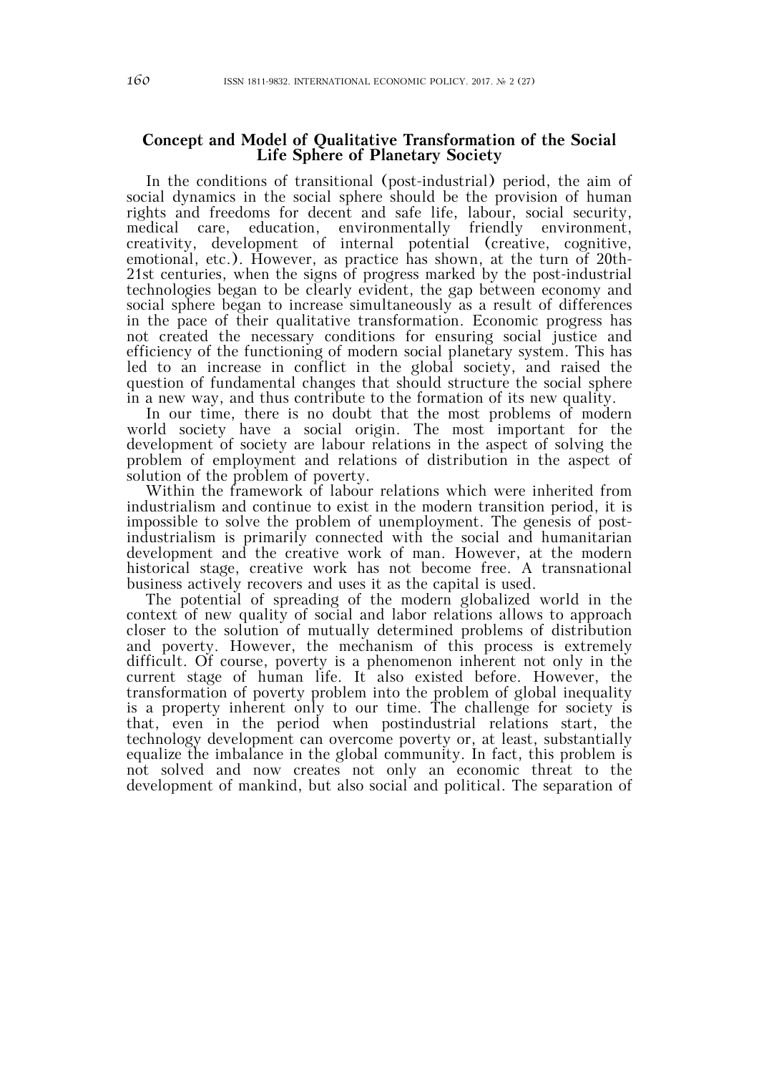#### **Concept and Model of Qualitative Transformation of the Social Life Sphere of Planetary Society**

In the conditions of transitional (post-industrial) period, the aim of social dynamics in the social sphere should be the provision of human rights and freedoms for decent and safe life, labour, social security, medical care, education, environmentally friendly environment, creativity, development of internal potential (creative, cognitive, emotional, etc.). However, as practice has shown, at the turn of 20th-21st centuries, when the signs of progress marked by the post-industrial technologies began to be clearly evident, the gap between economy and social sphere began to increase simultaneously as a result of differences in the pace of their qualitative transformation. Economic progress has not created the necessary conditions for ensuring social justice and efficiency of the functioning of modern social planetary system. This has led to an increase in conflict in the global society, and raised the question of fundamental changes that should structure the social sphere in a new way, and thus contribute to the formation of its new quality.

In our time, there is no doubt that the most problems of modern world society have a social origin. The most important for the development of society are labour relations in the aspect of solving the problem of employment and relations of distribution in the aspect of solution of the problem of poverty.

Within the framework of labour relations which were inherited from industrialism and continue to exist in the modern transition period, it is impossible to solve the problem of unemployment. The genesis of postindustrialism is primarily connected with the social and humanitarian development and the creative work of man. However, at the modern historical stage, creative work has not become free. A transnational business actively recovers and uses it as the capital is used.

The potential of spreading of the modern globalized world in the context of new quality of social and labor relations allows to approach closer to the solution of mutually determined problems of distribution and poverty. However, the mechanism of this process is extremely difficult. Of course, poverty is a phenomenon inherent not only in the current stage of human life. It also existed before. However, the transformation of poverty problem into the problem of global inequality is a property inherent only to our time. The challenge for society is that, even in the period when postindustrial relations start, the technology development can overcome poverty or, at least, substantially equalize the imbalance in the global community. In fact, this problem is not solved and now creates not only an economic threat to the development of mankind, but also social and political. The separation of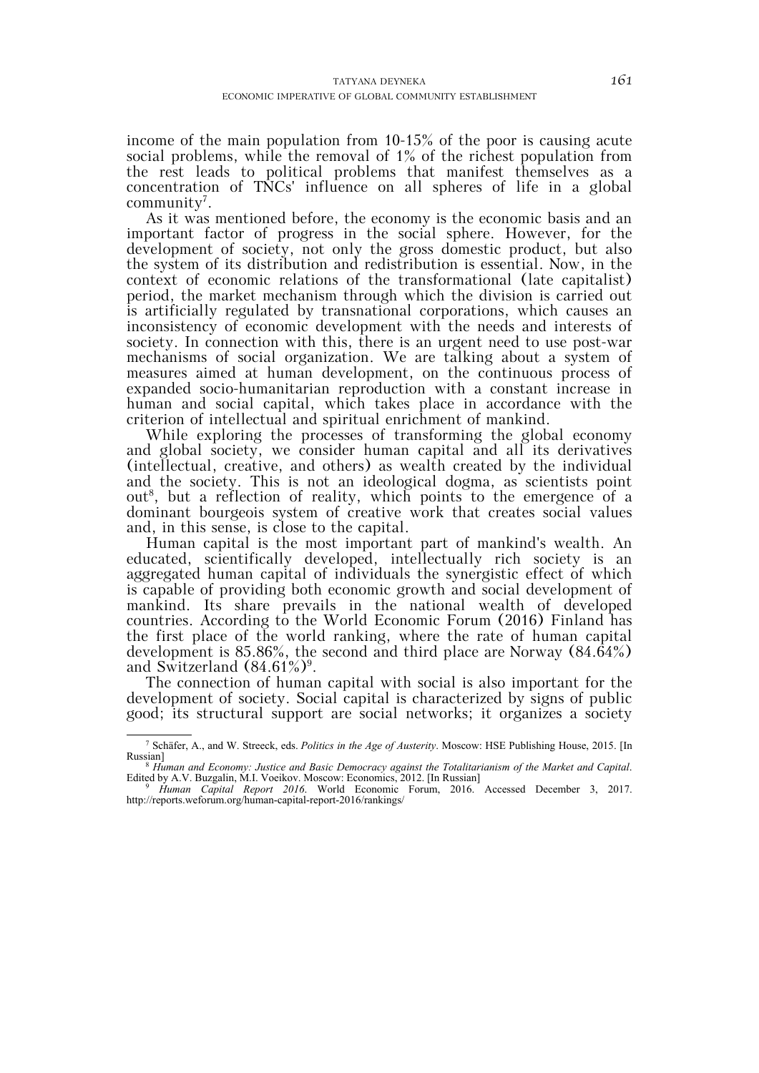income of the main population from 10-15% of the poor is causing acute social problems, while the removal of 1% of the richest population from the rest leads to political problems that manifest themselves as a concentration of TNCs' influence on all spheres of life in a global  $community<sup>7</sup>$ .

As it was mentioned before, the economy is the economic basis and an important factor of progress in the social sphere. However, for the development of society, not only the gross domestic product, but also the system of its distribution and redistribution is essential. Now, in the context of economic relations of the transformational (late capitalist) period, the market mechanism through which the division is carried out is artificially regulated by transnational corporations, which causes an inconsistency of economic development with the needs and interests of society. In connection with this, there is an urgent need to use post-war mechanisms of social organization. We are talking about a system of measures aimed at human development, on the continuous process of expanded socio-humanitarian reproduction with a constant increase in human and social capital, which takes place in accordance with the criterion of intellectual and spiritual enrichment of mankind.

While exploring the processes of transforming the global economy and global society, we consider human capital and all its derivatives (intellectual, creative, and others) as wealth created by the individual and the society. This is not an ideological dogma, as scientists point out<sup>8</sup>, but a reflection of reality, which points to the emergence of a dominant bourgeois system of creative work that creates social values and, in this sense, is close to the capital.

Human capital is the most important part of mankind's wealth. An educated, scientifically developed, intellectually rich society is an aggregated human capital of individuals the synergistic effect of which is capable of providing both economic growth and social development of mankind. Its share prevails in the national wealth of developed countries. According to the World Economic Forum (2016) Finland has the first place of the world ranking, where the rate of human capital development is  $85.86\%$ , the second and third place are Norway  $(84.64\%)$ and Switzerland  $(84.61\%)^9$ .

The connection of human capital with social is also important for the development of society. Social capital is characterized by signs of public good; its structural support are social networks; it organizes a society

 <sup>7</sup> Schäfer, A., and W. Streeck, eds. *Politics in the Age of Austerity*. Moscow: HSE Publishing House, 2015. [In Russian] 8 *Human and Economy: Justice and Basic Democracy against the Totalitarianism of the Market and Capital*.

Edited by A.V. Buzgalin, M.I. Voeikov. Moscow: Economics, 2012. [In Russian] 9 *Human Capital Report 2016*. World Economic Forum, 2016. Accessed December 3, 2017.

<sup>&</sup>lt;sup>9</sup>  $\dot{H}$ uman Capital Report 2016. World Economic Forum, 2016. Accessed December 3, 2017.<br>http://reports.weforum.org/human-capital-report-2016/rankings/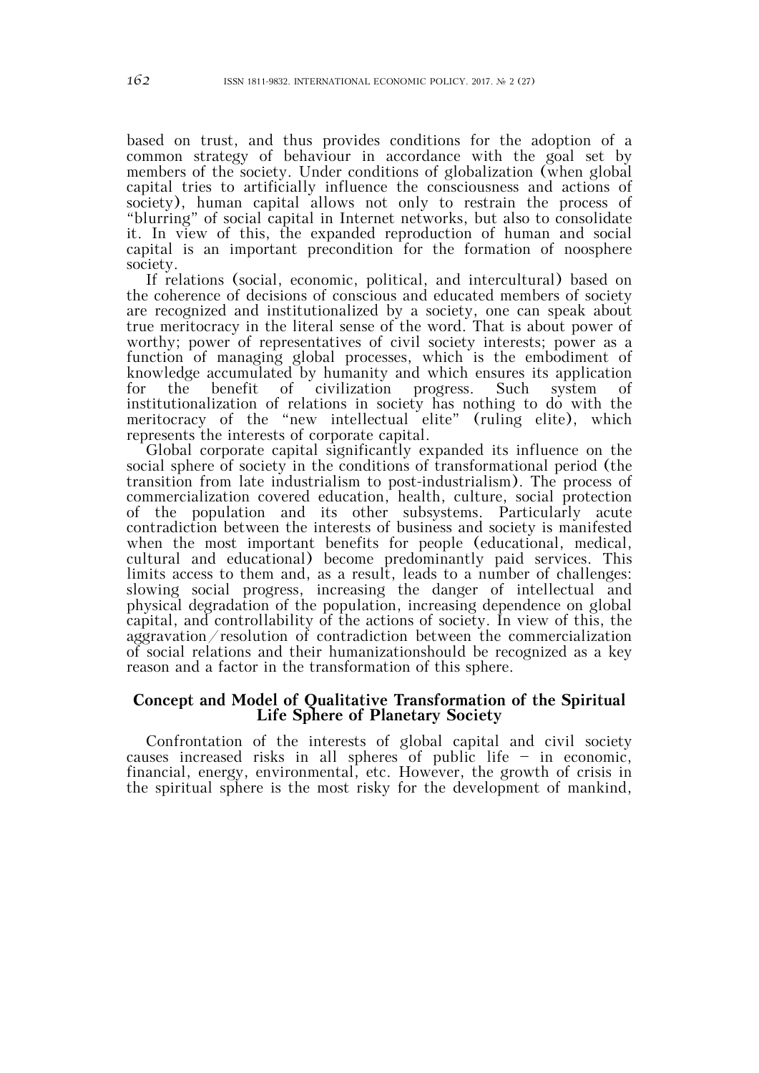based on trust, and thus provides conditions for the adoption of a common strategy of behaviour in accordance with the goal set by members of the society. Under conditions of globalization (when global capital tries to artificially influence the consciousness and actions of society), human capital allows not only to restrain the process of "blurring" of social capital in Internet networks, but also to consolidate it. In view of this, the expanded reproduction of human and social capital is an important precondition for the formation of noosphere society.

If relations (social, economic, political, and intercultural) based on the coherence of decisions of conscious and educated members of society are recognized and institutionalized by a society, one can speak about true meritocracy in the literal sense of the word. That is about power of worthy; power of representatives of civil society interests; power as a function of managing global processes, which is the embodiment of knowledge accumulated by humanity and which ensures its application for the benefit of civilization progress. Such system of institutionalization of relations in society has nothing to do with the meritocracy of the "new intellectual elite" (ruling elite), which represents the interests of corporate capital.

Global corporate capital significantly expanded its influence on the social sphere of society in the conditions of transformational period (the transition from late industrialism to post-industrialism). The process of commercialization covered education, health, culture, social protection of the population and its other subsystems. Particularly acute contradiction between the interests of business and society is manifested when the most important benefits for people (educational, medical, cultural and educational) become predominantly paid services. This limits access to them and, as a result, leads to a number of challenges: slowing social progress, increasing the danger of intellectual and physical degradation of the population, increasing dependence on global capital, and controllability of the actions of society. In view of this, the aggravation/resolution of contradiction between the commercialization of social relations and their humanizationshould be recognized as a key reason and a factor in the transformation of this sphere.

## **Concept and Model of Qualitative Transformation of the Spiritual Life Sphere of Planetary Society**

Confrontation of the interests of global capital and civil society causes increased risks in all spheres of public life — in economic, financial, energy, environmental, etc. However, the growth of crisis in the spiritual sphere is the most risky for the development of mankind,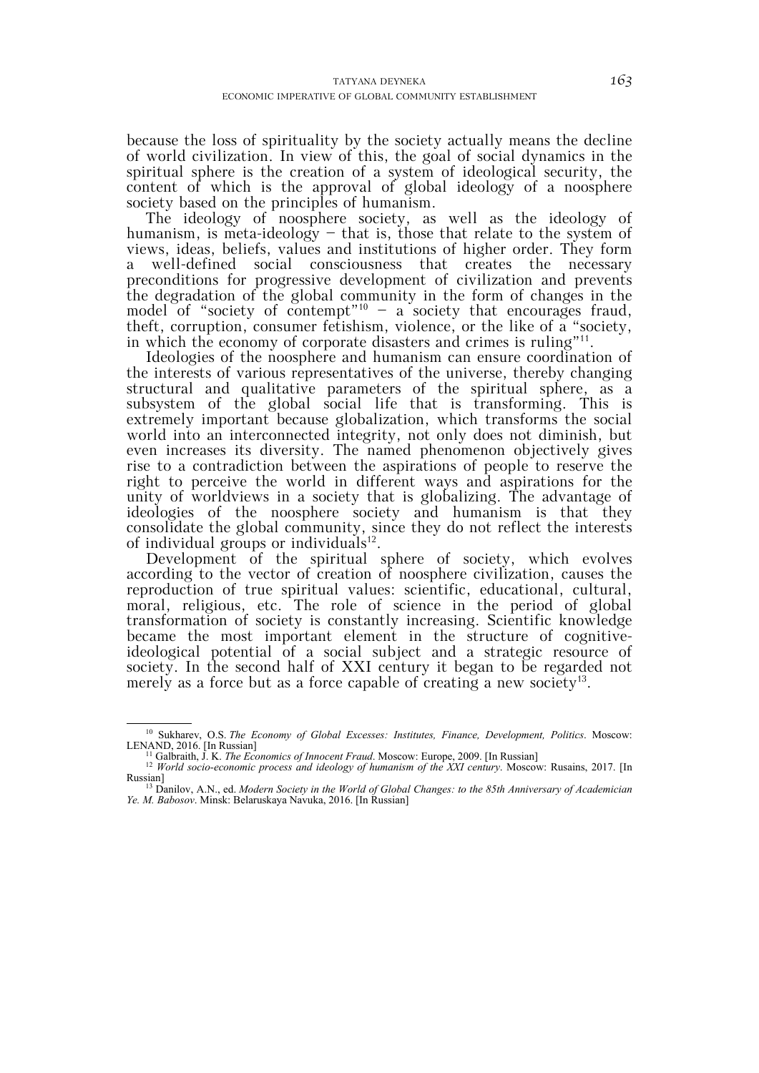because the loss of spirituality by the society actually means the decline of world civilization. In view of this, the goal of social dynamics in the spiritual sphere is the creation of a system of ideological security, the content of which is the approval of global ideology of a noosphere society based on the principles of humanism.

The ideology of noosphere society, as well as the ideology of humanism, is meta-ideology – that is, those that relate to the system of views, ideas, beliefs, values and institutions of higher order. They form a well-defined social consciousness that creates the necessary preconditions for progressive development of civilization and prevents the degradation of the global community in the form of changes in the model of "society of contempt"<sup>10</sup> – a society that encourages fraud, theft, corruption, consumer fetishism, violence, or the like of a "society, in which the economy of corporate disasters and crimes is ruling"11.

Ideologies of the noosphere and humanism can ensure coordination of the interests of various representatives of the universe, thereby changing structural and qualitative parameters of the spiritual sphere, as a subsystem of the global social life that is transforming. This is extremely important because globalization, which transforms the social world into an interconnected integrity, not only does not diminish, but even increases its diversity. The named phenomenon objectively gives rise to a contradiction between the aspirations of people to reserve the right to perceive the world in different ways and aspirations for the unity of worldviews in a society that is globalizing. The advantage of ideologies of the noosphere society and humanism is that they consolidate the global community, since they do not reflect the interests of individual groups or individuals<sup>12</sup>.

Development of the spiritual sphere of society, which evolves according to the vector of creation of noosphere civilization, causes the reproduction of true spiritual values: scientific, educational, cultural, moral, religious, etc. The role of science in the period of global transformation of society is constantly increasing. Scientific knowledge became the most important element in the structure of cognitiveideological potential of a social subject and a strategic resource of society. In the second half of XXI century it began to be regarded not merely as a force but as a force capable of creating a new society<sup>13</sup>.

<sup>&</sup>lt;sup>10</sup> Sukharev, O.S. *The Economy of Global Excesses: Institutes, Finance, Development, Politics*. Moscow: LENAND, 2016. [In Russian]

<sup>&</sup>lt;sup>11</sup> Galbraith, J. K. *The Economics of Innocent Fraud.* Moscow: Europe, 2009. [In Russian]<br><sup>12</sup> *World socio-economic process and ideology of humanism of the XXI century.* Moscow: Rusains, 2017. [In

Russian] 13 Danilov, A.N., ed. *Modern Society in the World of Global Changes: to the 85th Anniversary of Academician Ye. M. Babosov*. Minsk: Belaruskaya Navuka, 2016. [In Russian]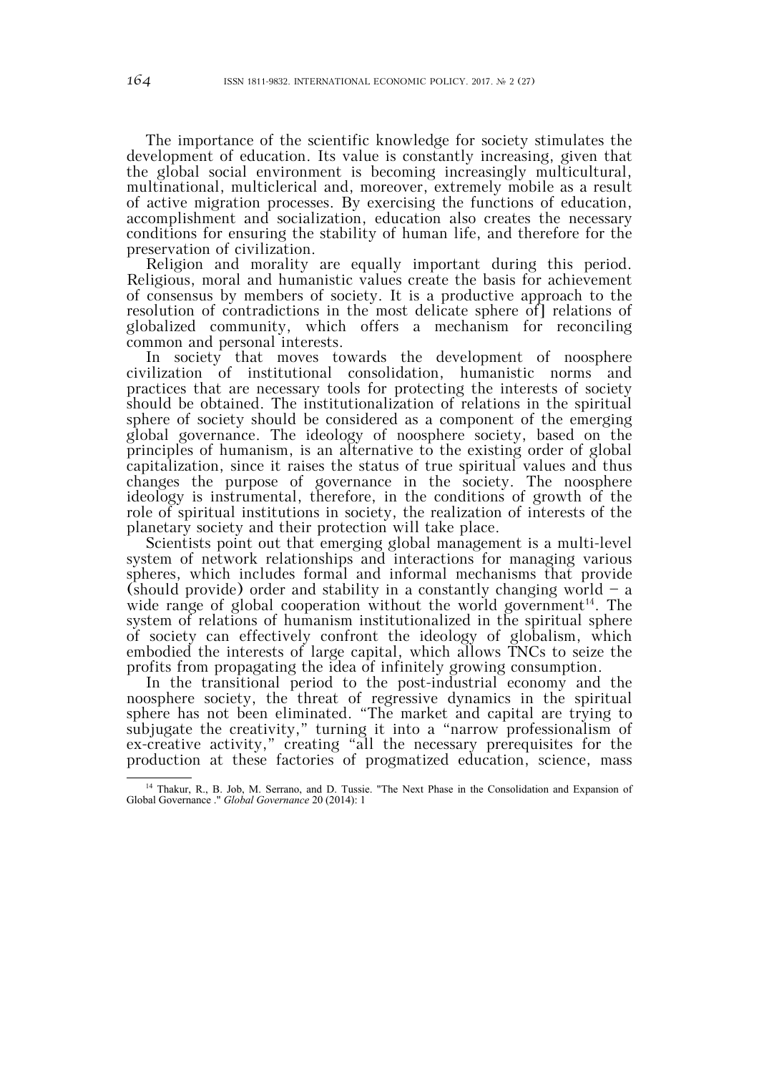The importance of the scientific knowledge for society stimulates the development of education. Its value is constantly increasing, given that the global social environment is becoming increasingly multicultural, multinational, multiclerical and, moreover, extremely mobile as a result of active migration processes. By exercising the functions of education, accomplishment and socialization, education also creates the necessary conditions for ensuring the stability of human life, and therefore for the preservation of civilization.

Religion and morality are equally important during this period. Religious, moral and humanistic values create the basis for achievement of consensus by members of society. It is a productive approach to the resolution of contradictions in the most delicate sphere of] relations of globalized community, which offers a mechanism for reconciling common and personal interests.

In society that moves towards the development of noosphere civilization of institutional consolidation, humanistic norms and practices that are necessary tools for protecting the interests of society should be obtained. The institutionalization of relations in the spiritual sphere of society should be considered as a component of the emerging global governance. The ideology of noosphere society, based on the principles of humanism, is an alternative to the existing order of global capitalization, since it raises the status of true spiritual values and thus changes the purpose of governance in the society. The noosphere ideology is instrumental, therefore, in the conditions of growth of the role of spiritual institutions in society, the realization of interests of the planetary society and their protection will take place.

Scientists point out that emerging global management is a multi-level system of network relationships and interactions for managing various spheres, which includes formal and informal mechanisms that provide (should provide) order and stability in a constantly changing world  $-$  a wide range of global cooperation without the world government<sup>14</sup>. The system of relations of humanism institutionalized in the spiritual sphere of society can effectively confront the ideology of globalism, which embodied the interests of large capital, which allows TNCs to seize the profits from propagating the idea of infinitely growing consumption.

In the transitional period to the post-industrial economy and the noosphere society, the threat of regressive dynamics in the spiritual sphere has not been eliminated. "The market and capital are trying to subjugate the creativity," turning it into a "narrow professionalism of ex-creative activity," creating "all the necessary prerequisites for the production at these factories of progmatized education, science, mass

<sup>&</sup>lt;sup>14</sup> Thakur, R., B. Job, M. Serrano, and D. Tussie. "The Next Phase in the Consolidation and Expansion of Global Governance ." *Global Governance* 20 (2014): 1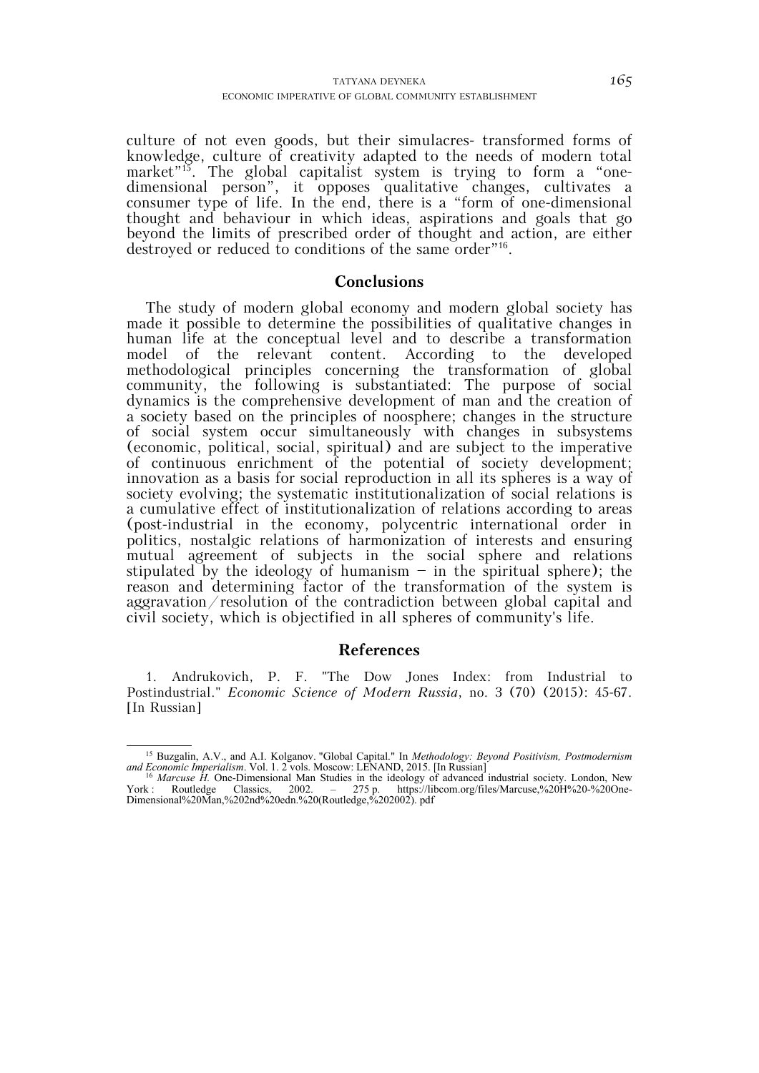culture of not even goods, but their simulacres- transformed forms of knowledge, culture of creativity adapted to the needs of modern total market"15. The global capitalist system is trying to form a "onedimensional person", it opposes qualitative changes, cultivates a consumer type of life. In the end, there is a "form of one-dimensional thought and behaviour in which ideas, aspirations and goals that go beyond the limits of prescribed order of thought and action, are either destroyed or reduced to conditions of the same order"16.

#### **Conclusions**

The study of modern global economy and modern global society has made it possible to determine the possibilities of qualitative changes in human life at the conceptual level and to describe a transformation model of the relevant content. According to the developed methodological principles concerning the transformation of global community, the following is substantiated: The purpose of social dynamics is the comprehensive development of man and the creation of a society based on the principles of noosphere; changes in the structure of social system occur simultaneously with changes in subsystems (economic, political, social, spiritual) and are subject to the imperative of continuous enrichment of the potential of society development; innovation as a basis for social reproduction in all its spheres is a way of society evolving; the systematic institutionalization of social relations is a cumulative effect of institutionalization of relations according to areas (post-industrial in the economy, polycentric international order in politics, nostalgic relations of harmonization of interests and ensuring mutual agreement of subjects in the social sphere and relations stipulated by the ideology of humanism — in the spiritual sphere); the reason and determining factor of the transformation of the system is aggravation/resolution of the contradiction between global capital and civil society, which is objectified in all spheres of community's life.

#### **References**

1. Andrukovich, P. F. "The Dow Jones Index: from Industrial to Postindustrial." *Economic Science of Modern Russia*, no. 3 (70) (2015): 45-67. [In Russian]

 <sup>15</sup> Buzgalin, A.V., and A.I. Kolganov. "Global Capital." In *Methodology: Beyond Positivism, Postmodernism and Economic Imperialism*. Vol. 1. 2 vols. Moscow: LENAND, 2015. [In Russian]<br><sup>16</sup> *Marcuse H.* One-Dimensional Man Studies in the ideology of advanced industrial society. London, New

York : Routledge Classics, 2002. – 275 р. https://libcom.org/files/Marcuse,%20H%20-%20One-Dimensional%20Man,%202nd%20edn.%20(Routledge,%202002). pdf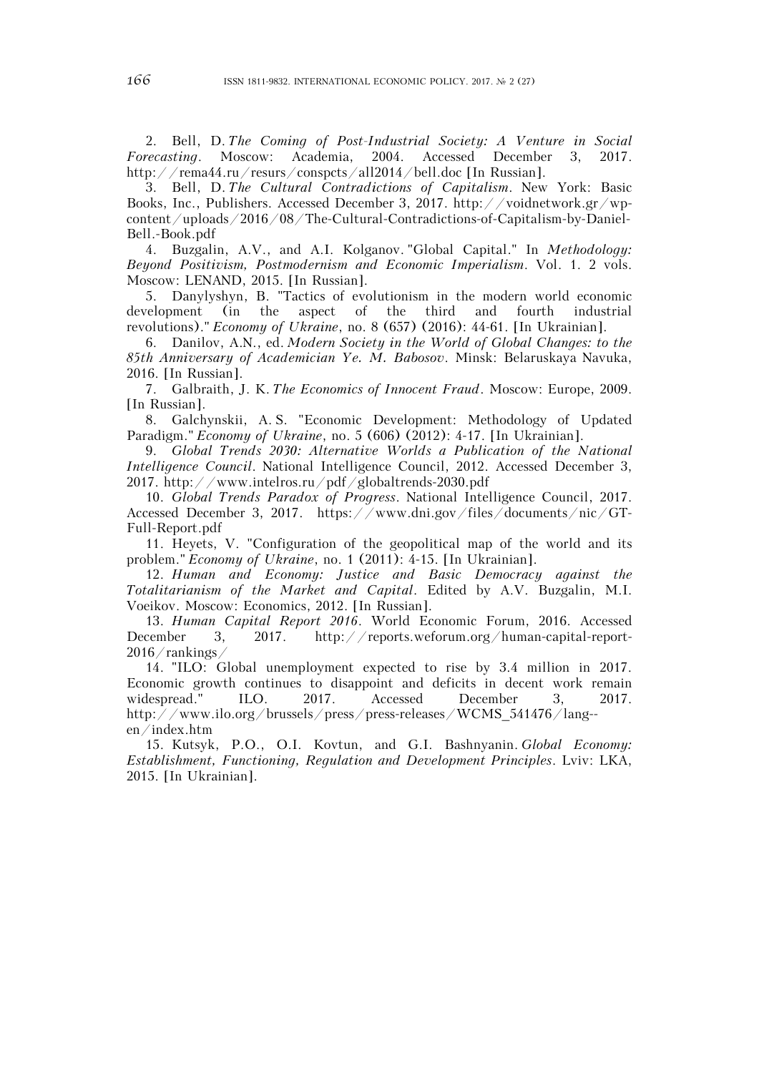2. Bell, D. *The Coming of Post-Industrial Society: A Venture in Social Forecasting*. Moscow: Academia, 2004. Accessed December 3, 2017. http://rema44.ru/resurs/conspcts/all2014/bell.doc [In Russian].

3. Bell, D. *The Cultural Contradictions of Capitalism*. New York: Basic Books, Inc., Publishers. Accessed December 3, 2017. http://voidnetwork.gr/wpcontent/uploads/2016/08/The-Cultural-Contradictions-of-Capitalism-by-Daniel-Bell.-Book.pdf

4. Buzgalin, A.V., and A.I. Kolganov. "Global Capital." In *Methodology: Beyond Positivism, Postmodernism and Economic Imperialism*. Vol. 1. 2 vols. Moscow: LENAND, 2015. [In Russian].

5. Danylyshyn, B. "Tactics of evolutionism in the modern world economic development (in the aspect of the third and fourth industrial revolutions)." *Economy of Ukraine*, no. 8 (657) (2016): 44-61. [In Ukrainian].

6. Danilov, A.N., ed. *Modern Society in the World of Global Changes: to the 85th Anniversary of Academician Ye. M. Babosov*. Minsk: Belaruskaya Navuka, 2016. [In Russian].

7. Galbraith, J. K. *The Economics of Innocent Fraud*. Moscow: Europe, 2009. [In Russian].

8. Galchynskii, A. S. "Economic Development: Methodology of Updated Paradigm." *Economy of Ukraine*, no. 5 (606) (2012): 4-17. [In Ukrainian].

9. *Global Trends 2030: Alternative Worlds a Publication of the National Intelligence Council*. National Intelligence Council, 2012. Accessed December 3, 2017. http://www.intelros.ru/pdf/globaltrends-2030.pdf

10. *Global Trends Paradox of Progress*. National Intelligence Council, 2017. Accessed December 3, 2017. https://www.dni.gov/files/documents/nic/GT-Full-Report.pdf

11. Heyets, V. "Configuration of the geopolitical map of the world and its problem." *Economy of Ukraine*, no. 1 (2011): 4-15. [In Ukrainian].

12. *Human and Economy: Justice and Basic Democracy against the Totalitarianism of the Market and Capital*. Edited by A.V. Buzgalin, M.I. Voeikov. Moscow: Economics, 2012. [In Russian].

13. *Human Capital Report 2016*. World Economic Forum, 2016. Accessed December 3, 2017. http://reports.weforum.org/human-capital-report-2016/rankings/

14. "ILO: Global unemployment expected to rise by 3.4 million in 2017. Economic growth continues to disappoint and deficits in decent work remain widespread." ILO. 2017. Accessed December 3, 2017. http://www.ilo.org/brussels/press/press-releases/WCMS\_541476/lang- en/index.htm

15. Kutsyk, P.O., O.I. Kovtun, and G.I. Bashnyanin. *Global Economy: Establishment, Functioning, Regulation and Development Principles*. Lviv: LKA, 2015. [In Ukrainian].